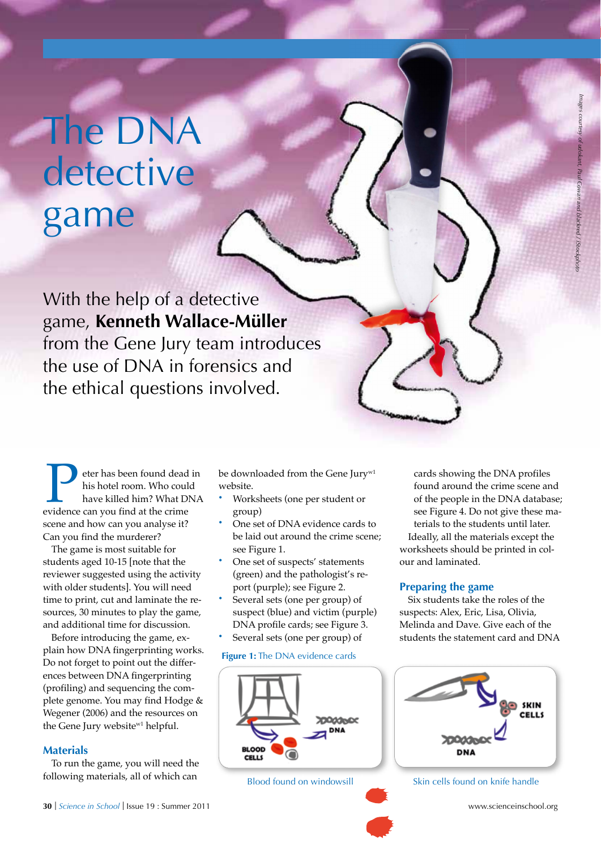# The DNA detective game

With the help of a detective game, **Kenneth Wallace-Müller** from the Gene Jury team introduces the use of DNA in forensics and the ethical questions involved.

**Example 12** eter has been found dead in his hotel room. Who could have killed him? What DNA evidence can you find at the crime his hotel room. Who could have killed him? What DNA scene and how can you analyse it? Can you find the murderer?

The game is most suitable for students aged 10-15 [note that the reviewer suggested using the activity with older students]. You will need time to print, cut and laminate the resources, 30 minutes to play the game, and additional time for discussion.

Before introducing the game, explain how DNA fingerprinting works. Do not forget to point out the differences between DNA fingerprinting (profiling) and sequencing the complete genome. You may find Hodge & Wegener (2006) and the resources on the Gene Jury website<sup>w1</sup> helpful.

#### **Materials**

To run the game, you will need the following materials, all of which can

be downloaded from the Gene Jury<sup>w1</sup> website.

- **·** Worksheets (one per student or group)
- One set of DNA evidence cards to be laid out around the crime scene; see Figure 1.
- **·** One set of suspects' statements (green) and the pathologist's report (purple); see Figure 2.
- **·** Several sets (one per group) of suspect (blue) and victim (purple) DNA profile cards; see Figure 3.
- **·** Several sets (one per group) of **Figure 1:** The DNA evidence cards



*Images courtesy of udokant, Paul Cowan and blackred / iStockphoto*

cant, Paul Cowan and blackred / iStock

cards showing the DNA profiles found around the crime scene and of the people in the DNA database; see Figure 4. Do not give these materials to the students until later. Ideally, all the materials except the worksheets should be printed in colour and laminated.

#### **Preparing the game**

Six students take the roles of the suspects: Alex, Eric, Lisa, Olivia, Melinda and Dave. Give each of the students the statement card and DNA



Blood found on windowsill Skin cells found on knife handle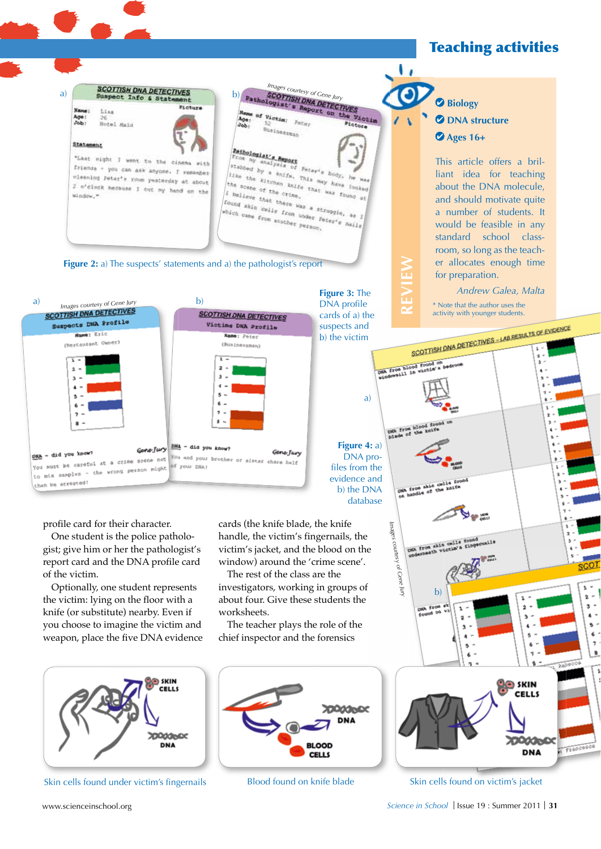## Teaching activities





profile card for their character.

One student is the police pathologist; give him or her the pathologist's report card and the DNA profile card of the victim.

Optionally, one student represents the victim: lying on the floor with a knife (or substitute) nearby. Even if you choose to imagine the victim and weapon, place the five DNA evidence cards (the knife blade, the knife handle, the victim's fingernails, the victim's jacket, and the blood on the window) around the 'crime scene'.

The rest of the class are the investigators, working in groups of about four. Give these students the worksheets.

The teacher plays the role of the chief inspector and the forensics



Skin cells found under victim's fingernails Blood found on knife blade



 **Biology** *<u>O* DNA structure</u>  **Ages 16+**

> This article offers a brilliant idea for teaching about the DNA molecule, and should motivate quite a number of students. It would be feasible in any standard school classroom, so long as the teacher allocates enough time for preparation.

> > *Andrew Galea, Malta*

SCOTTISH DNA DETECTIVES - LAB RESULTS OF EVIDENCE

\* Note that the author uses the activity with younger students.

**REVIEW**

A from blood found

**Figure 4:** a) DNA profiles from the evidence and b) the DNA database

a)



Skin cells found on victim's jacket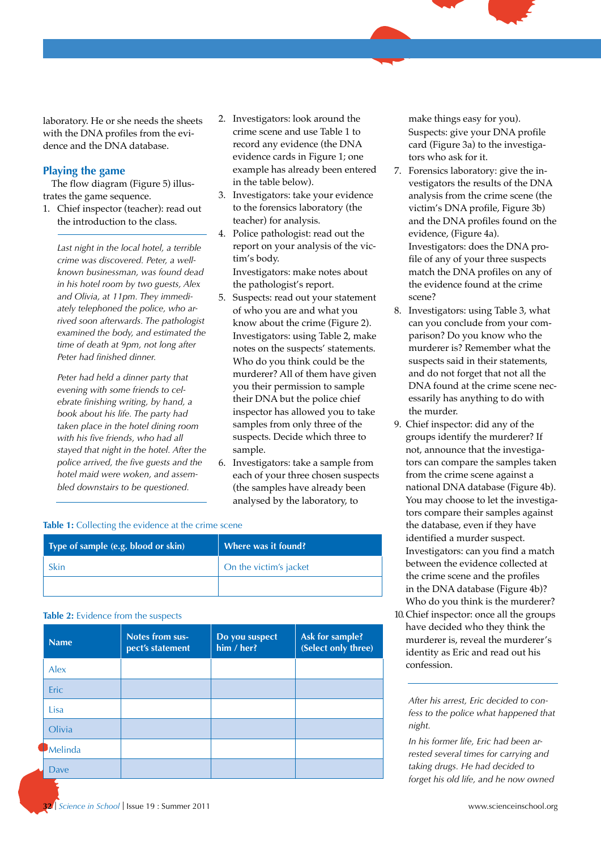laboratory. He or she needs the sheets with the DNA profiles from the evidence and the DNA database.

#### **Playing the game**

The flow diagram (Figure 5) illustrates the game sequence.

1. Chief inspector (teacher): read out the introduction to the class.

*Last night in the local hotel, a terrible crime was discovered. Peter, a wellknown businessman, was found dead in his hotel room by two guests, Alex and Olivia, at 11pm. They immediately telephoned the police, who arrived soon afterwards. The pathologist examined the body, and estimated the time of death at 9pm, not long after Peter had finished dinner.*

*Peter had held a dinner party that evening with some friends to celebrate finishing writing, by hand, a book about his life. The party had taken place in the hotel dining room with his five friends, who had all stayed that night in the hotel. After the police arrived, the five guests and the hotel maid were woken, and assembled downstairs to be questioned.*

- 2. Investigators: look around the crime scene and use Table 1 to record any evidence (the DNA evidence cards in Figure 1; one example has already been entered in the table below).
- 3. Investigators: take your evidence to the forensics laboratory (the teacher) for analysis.
- 4. Police pathologist: read out the report on your analysis of the victim's body. Investigators: make notes about the pathologist's report.
- 5. Suspects: read out your statement of who you are and what you know about the crime (Figure 2). Investigators: using Table 2, make notes on the suspects' statements. Who do you think could be the murderer? All of them have given you their permission to sample their DNA but the police chief inspector has allowed you to take samples from only three of the suspects. Decide which three to sample.
- 6. Investigators: take a sample from each of your three chosen suspects (the samples have already been analysed by the laboratory, to

#### **Table 1:** Collecting the evidence at the crime scene

| Type of sample (e.g. blood or skin) | Where was it found?    |
|-------------------------------------|------------------------|
| Skin                                | On the victim's jacket |
|                                     |                        |

#### **Table 2:** Evidence from the suspects

| <b>Name</b> | <b>Notes from sus-</b><br>pect's statement | Do you suspect<br>him / her? | Ask for sample?<br>(Select only three) |
|-------------|--------------------------------------------|------------------------------|----------------------------------------|
| Alex        |                                            |                              |                                        |
| <b>Eric</b> |                                            |                              |                                        |
| Lisa        |                                            |                              |                                        |
| Olivia      |                                            |                              |                                        |
| Melinda     |                                            |                              |                                        |
| Dave        |                                            |                              |                                        |

make things easy for you). Suspects: give your DNA profile card (Figure 3a) to the investigators who ask for it.

- 7. Forensics laboratory: give the investigators the results of the DNA analysis from the crime scene (the victim's DNA profile, Figure 3b) and the DNA profiles found on the evidence, (Figure 4a). Investigators: does the DNA profile of any of your three suspects match the DNA profiles on any of the evidence found at the crime scene?
- 8. Investigators: using Table 3, what can you conclude from your comparison? Do you know who the murderer is? Remember what the suspects said in their statements, and do not forget that not all the DNA found at the crime scene necessarily has anything to do with the murder.
- 9. Chief inspector: did any of the groups identify the murderer? If not, announce that the investigators can compare the samples taken from the crime scene against a national DNA database (Figure 4b). You may choose to let the investigators compare their samples against the database, even if they have identified a murder suspect. Investigators: can you find a match between the evidence collected at the crime scene and the profiles in the DNA database (Figure 4b)? Who do you think is the murderer?
- 10. Chief inspector: once all the groups have decided who they think the murderer is, reveal the murderer's identity as Eric and read out his confession.

*After his arrest, Eric decided to confess to the police what happened that night.*

*In his former life, Eric had been arrested several times for carrying and taking drugs. He had decided to forget his old life, and he now owned*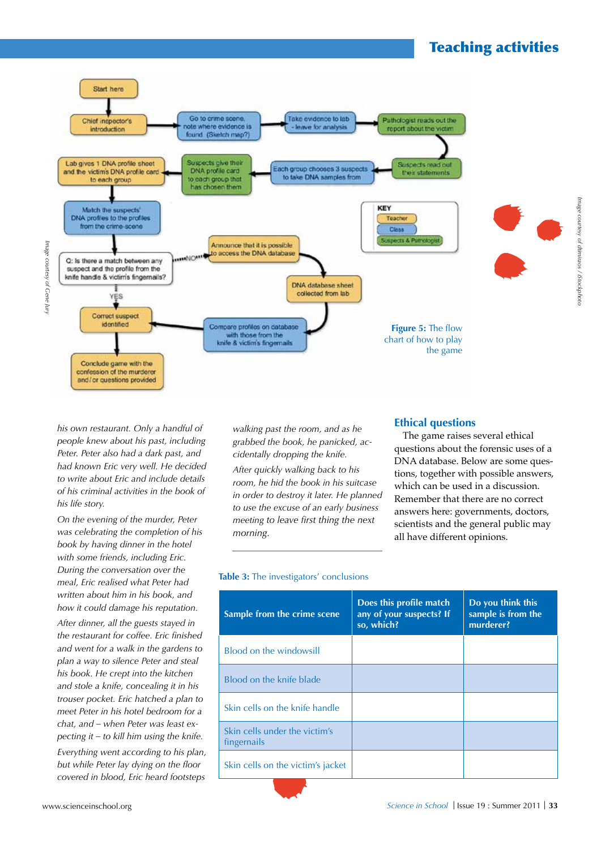## Teaching activities



Image courtesy of Gene Jury *Image courtesy of Gene Jury*

> *his own restaurant. Only a handful of people knew about his past, including Peter. Peter also had a dark past, and had known Eric very well. He decided to write about Eric and include details of his criminal activities in the book of his life story.*

*On the evening of the murder, Peter was celebrating the completion of his book by having dinner in the hotel with some friends, including Eric. During the conversation over the meal, Eric realised what Peter had written about him in his book, and how it could damage his reputation.*

*After dinner, all the guests stayed in the restaurant for coffee. Eric finished and went for a walk in the gardens to plan a way to silence Peter and steal his book. He crept into the kitchen and stole a knife, concealing it in his trouser pocket. Eric hatched a plan to meet Peter in his hotel bedroom for a chat, and – when Peter was least expecting it – to kill him using the knife.*

*Everything went according to his plan, but while Peter lay dying on the floor covered in blood, Eric heard footsteps*  *walking past the room, and as he grabbed the book, he panicked, accidentally dropping the knife.*

*After quickly walking back to his room, he hid the book in his suitcase in order to destroy it later. He planned to use the excuse of an early business meeting to leave first thing the next morning.*

#### **Ethical questions**

The game raises several ethical questions about the forensic uses of a DNA database. Below are some questions, together with possible answers, which can be used in a discussion. Remember that there are no correct answers here: governments, doctors, scientists and the general public may all have different opinions.

#### **Table 3:** The investigators' conclusions

| Sample from the crime scene                  | Does this profile match<br>any of your suspects? If<br>so, which? | Do you think this<br>sample is from the<br>murderer? |
|----------------------------------------------|-------------------------------------------------------------------|------------------------------------------------------|
| Blood on the windowsill                      |                                                                   |                                                      |
| Blood on the knife blade                     |                                                                   |                                                      |
| Skin cells on the knife handle               |                                                                   |                                                      |
| Skin cells under the victim's<br>fingernails |                                                                   |                                                      |
| Skin cells on the victim's jacket            |                                                                   |                                                      |
|                                              |                                                                   |                                                      |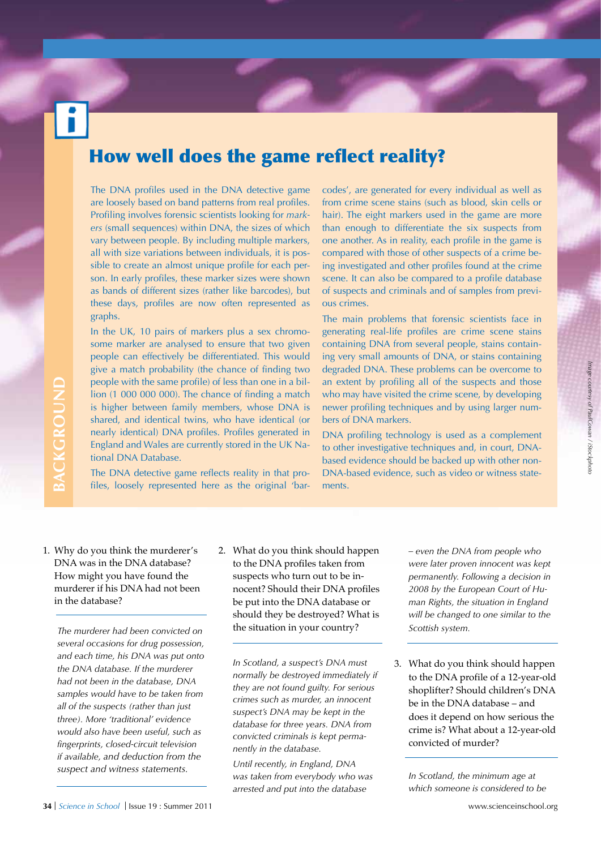## How well does the game reflect reality?

The DNA profiles used in the DNA detective game are loosely based on band patterns from real profiles. Profiling involves forensic scientists looking for *markers* (small sequences) within DNA, the sizes of which vary between people. By including multiple markers, all with size variations between individuals, it is possible to create an almost unique profile for each person. In early profiles, these marker sizes were shown as bands of different sizes (rather like barcodes), but these days, profiles are now often represented as graphs.

In the UK, 10 pairs of markers plus a sex chromosome marker are analysed to ensure that two given people can effectively be differentiated. This would give a match probability (the chance of finding two people with the same profile) of less than one in a billion (1 000 000 000). The chance of finding a match is higher between family members, whose DNA is shared, and identical twins, who have identical (or nearly identical) DNA profiles. Profiles generated in England and Wales are currently stored in the UK National DNA Database.

The DNA detective game reflects reality in that profiles, loosely represented here as the original 'barcodes', are generated for every individual as well as from crime scene stains (such as blood, skin cells or hair). The eight markers used in the game are more than enough to differentiate the six suspects from one another. As in reality, each profile in the game is compared with those of other suspects of a crime being investigated and other profiles found at the crime scene. It can also be compared to a profile database of suspects and criminals and of samples from previous crimes.

The main problems that forensic scientists face in generating real-life profiles are crime scene stains containing DNA from several people, stains containing very small amounts of DNA, or stains containing degraded DNA. These problems can be overcome to an extent by profiling all of the suspects and those who may have visited the crime scene, by developing newer profiling techniques and by using larger numbers of DNA markers.

DNA profiling technology is used as a complement to other investigative techniques and, in court, DNAbased evidence should be backed up with other non-DNA-based evidence, such as video or witness statements.

1. Why do you think the murderer's DNA was in the DNA database? How might you have found the murderer if his DNA had not been in the database?

*The murderer had been convicted on several occasions for drug possession, and each time, his DNA was put onto the DNA database. If the murderer had not been in the database, DNA samples would have to be taken from all of the suspects (rather than just three). More 'traditional' evidence would also have been useful, such as fingerprints, closed-circuit television if available, and deduction from the*  **Example 10** with the same polion (1 000 000 000). T<br>
is higher between fam<br>
shared, and identical t<br>
rearly identical) DNA<br>
England and Wales are<br>
tional DNA Database.<br>
The DNA detective gan<br>
files, loosely represent<br>
HWN

2. What do you think should happen to the DNA profiles taken from suspects who turn out to be innocent? Should their DNA profiles be put into the DNA database or should they be destroyed? What is the situation in your country?

*In Scotland, a suspect's DNA must normally be destroyed immediately if they are not found guilty. For serious crimes such as murder, an innocent suspect's DNA may be kept in the database for three years. DNA from convicted criminals is kept permanently in the database.*

*Until recently, in England, DNA was taken from everybody who was arrested and put into the database* 

*– even the DNA from people who were later proven innocent was kept permanently. Following a decision in 2008 by the European Court of Human Rights, the situation in England will be changed to one similar to the Scottish system.*

Image courtesy of PaulCowan / iStockphotc *Image courtesy of PaulCowan / iStockphoto*

3. What do you think should happen to the DNA profile of a 12-year-old shoplifter? Should children's DNA be in the DNA database – and does it depend on how serious the crime is? What about a 12-year-old convicted of murder?

*In Scotland, the minimum age at which someone is considered to be*